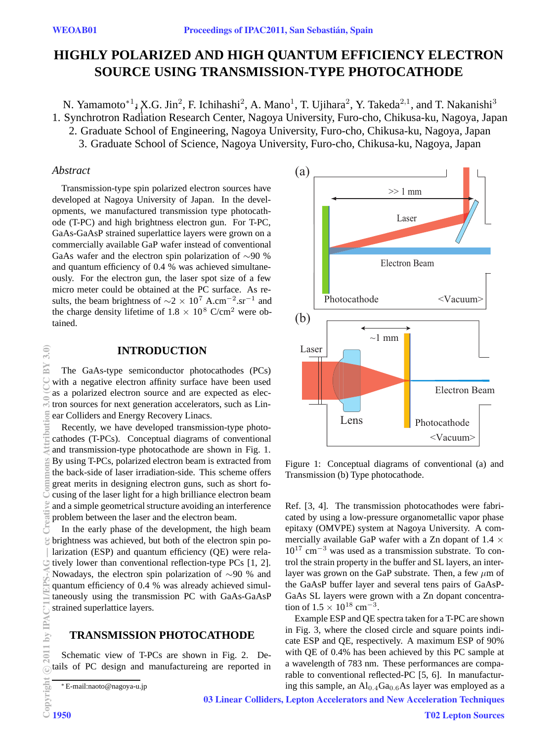# **HIGHLY POLARIZED AND HIGH QUANTUM EFFICIENCY ELECTRON SOURCE USING TRANSMISSION-TYPE PHOTOCATHODE**

N. Yamamoto<sup>∗1</sup>↓X.G. Jin<sup>2</sup>, F. Ichihashi<sup>2</sup>, A. Mano<sup>1</sup>, T. Ujihara<sup>2</sup>, Y. Takeda<sup>2,1</sup>, and T. Nakanishi<sup>3</sup> 1. Synchrotron Radiation Research Center, Nagoya University, Furo-cho, Chikusa-ku, Nagoya, Japan 1

2. Graduate School of Engineering, Nagoya University, Furo-cho, Chikusa-ku, Nagoya, Japan

3. Graduate School of Science, Nagoya University, Furo-cho, Chikusa-ku, Nagoya, Japan

#### *Abstract*

Transmission-type spin polarized electron sources have developed at Nagoya University of Japan. In the developments, we manufactured transmission type photocathode (T-PC) and high brightness electron gun. For T-PC, GaAs-GaAsP strained superlattice layers were grown on a commercially available GaP wafer instead of conventional GaAs wafer and the electron spin polarization of ∼90 % and quantum efficiency of 0.4 % was achieved simultaneously. For the electron gun, the laser spot size of a few micro meter could be obtained at the PC surface. As results, the beam brightness of <sup>∼</sup><sup>2</sup> <sup>×</sup> <sup>10</sup><sup>7</sup> A.cm*−*<sup>2</sup>.sr*−*<sup>1</sup> and the charge density lifetime of  $1.8 \times 10^8$  C/cm<sup>2</sup> were obtained.

#### **INTRODUCTION**

The GaAs-type semiconductor photocathodes (PCs) with a negative electron affinity surface have been used as a polarized electron source and are expected as electron sources for next generation accelerators, such as Linear Colliders and Energy Recovery Linacs.

Recently, we have developed transmission-type photocathodes (T-PCs). Conceptual diagrams of conventional and transmission-type photocathode are shown in Fig. 1. By using T-PCs, polarized electron beam is extracted from the back-side of laser irradiation-side. This scheme offers great merits in designing electron guns, such as short focusing of the laser light for a high brilliance electron beam and a simple geometrical structure avoiding an interference problem between the laser and the electron beam.

In the early phase of the development, the high beam brightness was achieved, but both of the electron spin polarization (ESP) and quantum efficiency (QE) were relatively lower than conventional reflection-type PCs [1, 2]. Nowadays, the electron spin polarization of ∼90 % and quantum efficiency of 0.4 % was already achieved simultaneously using the transmission PC with GaAs-GaAsP strained superlattice layers.

## **TRANSMISSION PHOTOCATHODE**

Schematic view of T-PCs are shown in Fig. 2. Details of PC design and manufactureing are reported in



Figure 1: Conceptual diagrams of conventional (a) and Transmission (b) Type photocathode.

Ref. [3, 4]. The transmission photocathodes were fabricated by using a low-pressure organometallic vapor phase epitaxy (OMVPE) system at Nagoya University. A commercially available GaP wafer with a Zn dopant of  $1.4 \times$ 10<sup>17</sup> cm*−*<sup>3</sup> was used as a transmission substrate. To control the strain property in the buffer and SL layers, an interlayer was grown on the GaP substrate. Then, a few *µ*m of the GaAsP buffer layer and several tens pairs of GaAsP-GaAs SL layers were grown with a Zn dopant concentration of 1.5 <sup>×</sup> <sup>10</sup><sup>18</sup> cm*−*<sup>3</sup>.

Example ESP and QE spectra taken for a T-PC are shown in Fig. 3, where the closed circle and square points indicate ESP and QE, respectively. A maximum ESP of 90% with QE of 0.4% has been achieved by this PC sample at a wavelength of 783 nm. These performances are comparable to conventional reflected-PC [5, 6]. In manufacturing this sample, an  $Al_{0.4}Ga_{0.6}As$  layer was employed as a

03 Linear Colliders, Lepton Accelerators and New Acceleration Techniques

<sup>∗</sup> E-mail:naoto@nagoya-u.jp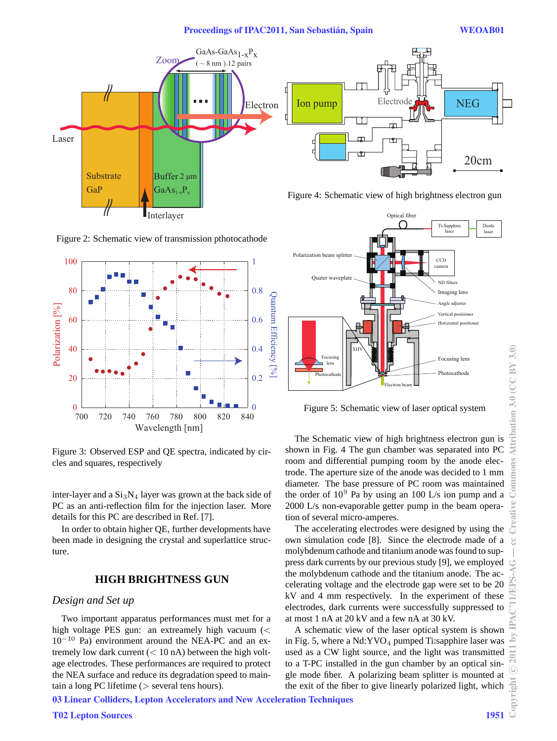

Figure 2: Schematic view of transmission pthotocathode



Figure 3: Observed ESP and QE spectra, indicated by circles and squares, respectively

inter-layer and a  $Si<sub>3</sub>N<sub>4</sub>$  layer was grown at the back side of PC as an anti-reflection film for the injection laser. More details for this PC are described in Ref. [7].

In order to obtain higher QE, further developments have been made in designing the crystal and superlattice structure.

# **HIGH BRIGHTNESS GUN**

#### *Design and Set up*

Two important apparatus performances must met for a high voltage PES gun: an extreamely high vacuum (*<* 10*−*<sup>10</sup> Pa) environment around the NEA-PC and an extremely low dark current (*<* 10 nA) between the high voltage electrodes. These performances are required to protect the NEA surface and reduce its degradation speed to maintain a long PC lifetime (*>* several tens hours).





Figure 4: Schematic view of high brightness electron gun



Figure 5: Schematic view of laser optical system

The Schematic view of high brightness electron gun is shown in Fig. 4 The gun chamber was separated into PC room and differential pumping room by the anode electrode. The aperture size of the anode was decided to 1 mm diameter. The base pressure of PC room was maintained the order of  $10^9$  Pa by using an 100 L/s ion pump and a 2000 L/s non-evaporable getter pump in the beam operation of several micro-amperes.

The accelerating electrodes were designed by using the own simulation code [8]. Since the electrode made of a molybdenum cathode and titanium anode was found to suppress dark currents by our previous study [9], we employed the molybdenum cathode and the titanium anode. The accelerating voltage and the electrode gap were set to be 20 kV and 4 mm respectively. In the experiment of these electrodes, dark currents were successfully suppressed to at most 1 nA at 20 kV and a few nA at 30 kV.

A schematic view of the laser optical system is shown in Fig. 5, where a  $Nd:YVO<sub>4</sub>$  pumped Ti:sapphire laser was used as a CW light source, and the light was transmitted to a T-PC installed in the gun chamber by an optical single mode fiber. A polarizing beam splitter is mounted at the exit of the fiber to give linearly polarized light, which